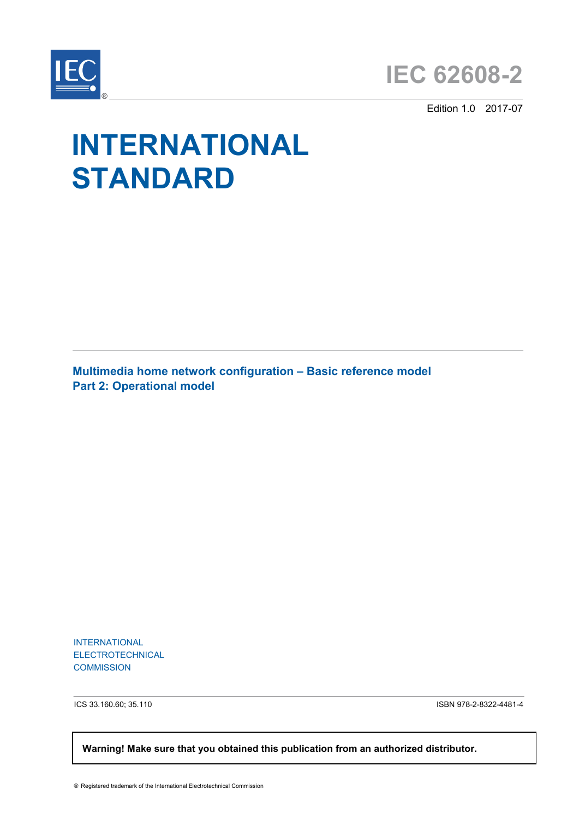



Edition 1.0 2017-07

# **INTERNATIONAL STANDARD**

**Multimedia home network configuration – Basic reference model Part 2: Operational model**

INTERNATIONAL ELECTROTECHNICAL **COMMISSION** 

ICS 33.160.60; 35.110 ISBN 978-2-8322-4481-4

 **Warning! Make sure that you obtained this publication from an authorized distributor.**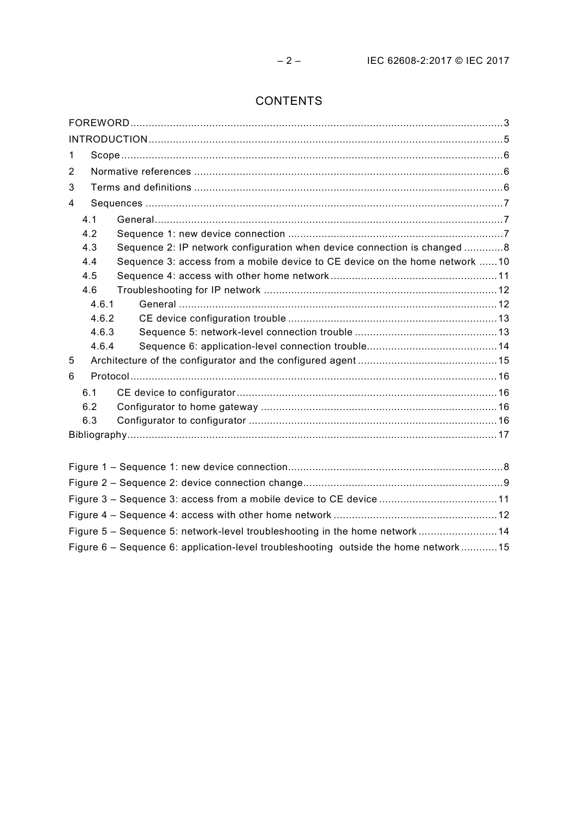# CONTENTS

| 1     |       |                                                                             |  |  |  |
|-------|-------|-----------------------------------------------------------------------------|--|--|--|
| 2     |       |                                                                             |  |  |  |
| 3     |       |                                                                             |  |  |  |
| 4     |       |                                                                             |  |  |  |
| 4.1   |       |                                                                             |  |  |  |
|       | 4.2   |                                                                             |  |  |  |
|       | 4.3   | Sequence 2: IP network configuration when device connection is changed 8    |  |  |  |
|       | 4.4   | Sequence 3: access from a mobile device to CE device on the home network 10 |  |  |  |
|       | 4.5   |                                                                             |  |  |  |
|       | 4.6   |                                                                             |  |  |  |
|       | 4.6.1 |                                                                             |  |  |  |
| 4.6.2 |       |                                                                             |  |  |  |
|       | 4.6.3 |                                                                             |  |  |  |
|       | 4.6.4 |                                                                             |  |  |  |
| 5     |       |                                                                             |  |  |  |
| 6     |       |                                                                             |  |  |  |
| 6.1   |       |                                                                             |  |  |  |
|       | 6.2   |                                                                             |  |  |  |
|       | 6.3   |                                                                             |  |  |  |
|       |       |                                                                             |  |  |  |
|       |       |                                                                             |  |  |  |
|       |       |                                                                             |  |  |  |
|       |       |                                                                             |  |  |  |

| Figure 5 – Sequence 5: network-level troubleshooting in the home network14          |  |
|-------------------------------------------------------------------------------------|--|
| Figure 6 - Sequence 6: application-level troubleshooting outside the home network15 |  |

Figure 4 – Sequence 4: access with other home network ......................................................12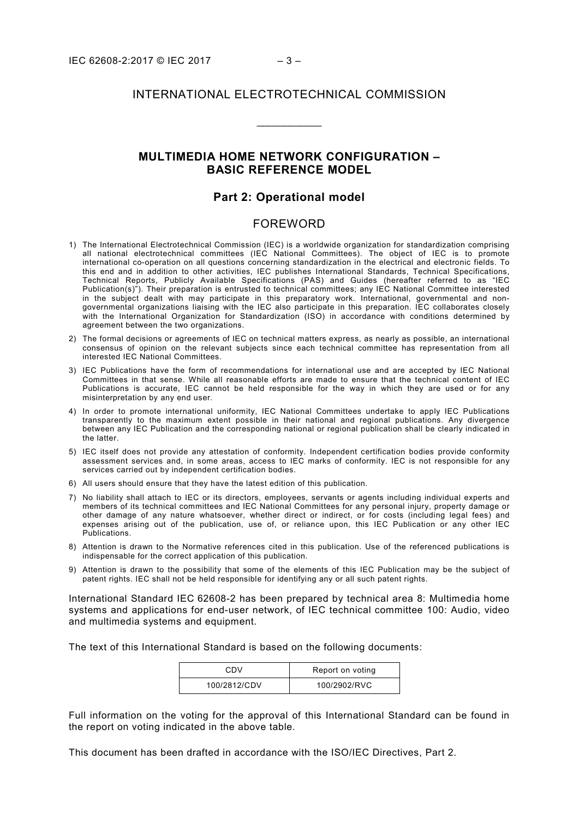## INTERNATIONAL ELECTROTECHNICAL COMMISSION

\_\_\_\_\_\_\_\_\_\_\_\_

## **MULTIMEDIA HOME NETWORK CONFIGURATION – BASIC REFERENCE MODEL**

#### **Part 2: Operational model**

#### FOREWORD

- <span id="page-2-0"></span>1) The International Electrotechnical Commission (IEC) is a worldwide organization for standardization comprising all national electrotechnical committees (IEC National Committees). The object of IEC is to promote international co-operation on all questions concerning standardization in the electrical and electronic fields. To this end and in addition to other activities, IEC publishes International Standards, Technical Specifications, Technical Reports, Publicly Available Specifications (PAS) and Guides (hereafter referred to as "IEC Publication(s)"). Their preparation is entrusted to technical committees; any IEC National Committee interested in the subject dealt with may participate in this preparatory work. International, governmental and nongovernmental organizations liaising with the IEC also participate in this preparation. IEC collaborates closely with the International Organization for Standardization (ISO) in accordance with conditions determined by agreement between the two organizations.
- 2) The formal decisions or agreements of IEC on technical matters express, as nearly as possible, an international consensus of opinion on the relevant subjects since each technical committee has representation from all interested IEC National Committees.
- 3) IEC Publications have the form of recommendations for international use and are accepted by IEC National Committees in that sense. While all reasonable efforts are made to ensure that the technical content of IEC Publications is accurate, IEC cannot be held responsible for the way in which they are used or for any misinterpretation by any end user.
- 4) In order to promote international uniformity, IEC National Committees undertake to apply IEC Publications transparently to the maximum extent possible in their national and regional publications. Any divergence between any IEC Publication and the corresponding national or regional publication shall be clearly indicated in the latter.
- 5) IEC itself does not provide any attestation of conformity. Independent certification bodies provide conformity assessment services and, in some areas, access to IEC marks of conformity. IEC is not responsible for any services carried out by independent certification bodies.
- 6) All users should ensure that they have the latest edition of this publication.
- 7) No liability shall attach to IEC or its directors, employees, servants or agents including individual experts and members of its technical committees and IEC National Committees for any personal injury, property damage or other damage of any nature whatsoever, whether direct or indirect, or for costs (including legal fees) and expenses arising out of the publication, use of, or reliance upon, this IEC Publication or any other IEC Publications.
- 8) Attention is drawn to the Normative references cited in this publication. Use of the referenced publications is indispensable for the correct application of this publication.
- 9) Attention is drawn to the possibility that some of the elements of this IEC Publication may be the subject of patent rights. IEC shall not be held responsible for identifying any or all such patent rights.

International Standard IEC 62608-2 has been prepared by technical area 8: Multimedia home systems and applications for end-user network, of IEC technical committee 100: Audio, video and multimedia systems and equipment.

The text of this International Standard is based on the following documents:

| CDV          | Report on voting |
|--------------|------------------|
| 100/2812/CDV | 100/2902/RVC     |

Full information on the voting for the approval of this International Standard can be found in the report on voting indicated in the above table.

This document has been drafted in accordance with the ISO/IEC Directives, Part 2.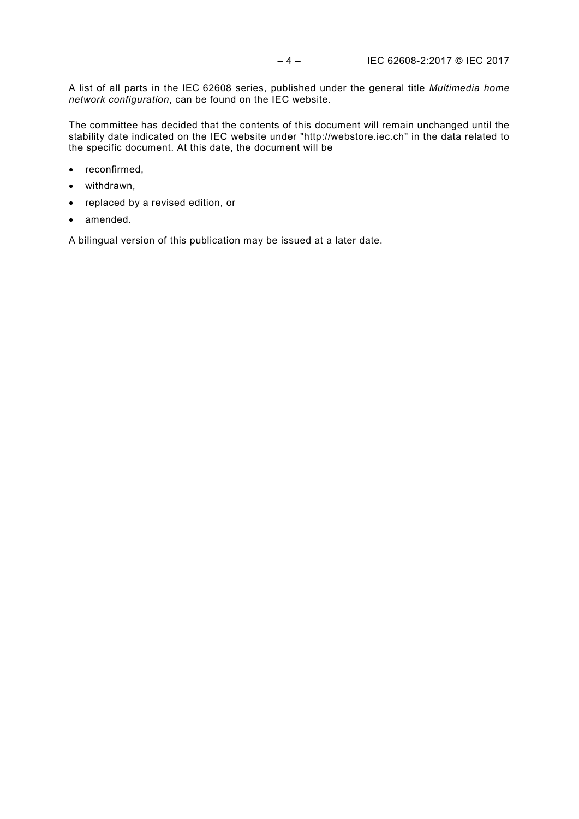A list of all parts in the IEC 62608 series, published under the general title *Multimedia home network configuration*, can be found on the IEC website.

The committee has decided that the contents of this document will remain unchanged until the stability date indicated on the IEC website under "http://webstore.iec.ch" in the data related to the specific document. At this date, the document will be

- reconfirmed,
- withdrawn,
- replaced by a revised edition, or
- amended.

A bilingual version of this publication may be issued at a later date.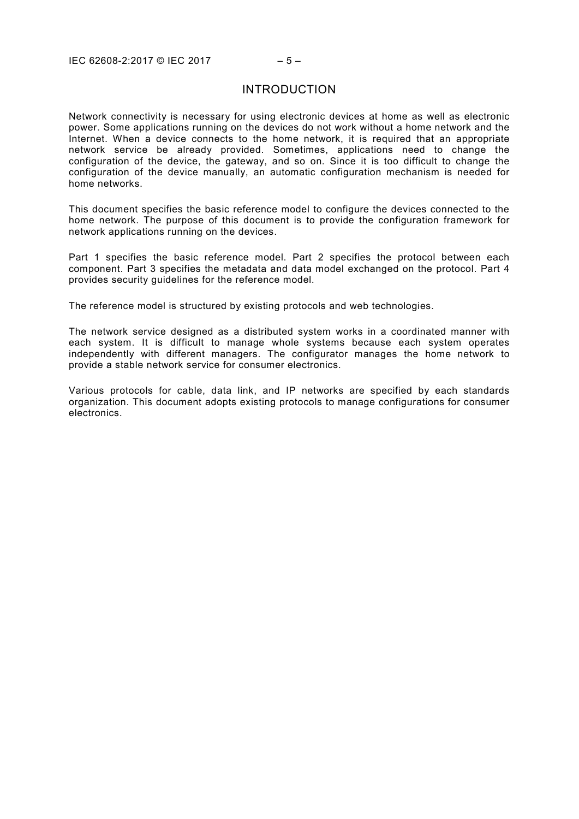#### INTRODUCTION

<span id="page-4-0"></span>Network connectivity is necessary for using electronic devices at home as well as electronic power. Some applications running on the devices do not work without a home network and the Internet. When a device connects to the home network, it is required that an appropriate network service be already provided. Sometimes, applications need to change the configuration of the device, the gateway, and so on. Since it is too difficult to change the configuration of the device manually, an automatic configuration mechanism is needed for home networks.

This document specifies the basic reference model to configure the devices connected to the home network. The purpose of this document is to provide the configuration framework for network applications running on the devices.

Part 1 specifies the basic reference model. Part 2 specifies the protocol between each component. Part 3 specifies the metadata and data model exchanged on the protocol. Part 4 provides security guidelines for the reference model.

The reference model is structured by existing protocols and web technologies.

The network service designed as a distributed system works in a coordinated manner with each system. It is difficult to manage whole systems because each system operates independently with different managers. The configurator manages the home network to provide a stable network service for consumer electronics.

Various protocols for cable, data link, and IP networks are specified by each standards organization. This document adopts existing protocols to manage configurations for consumer electronics.